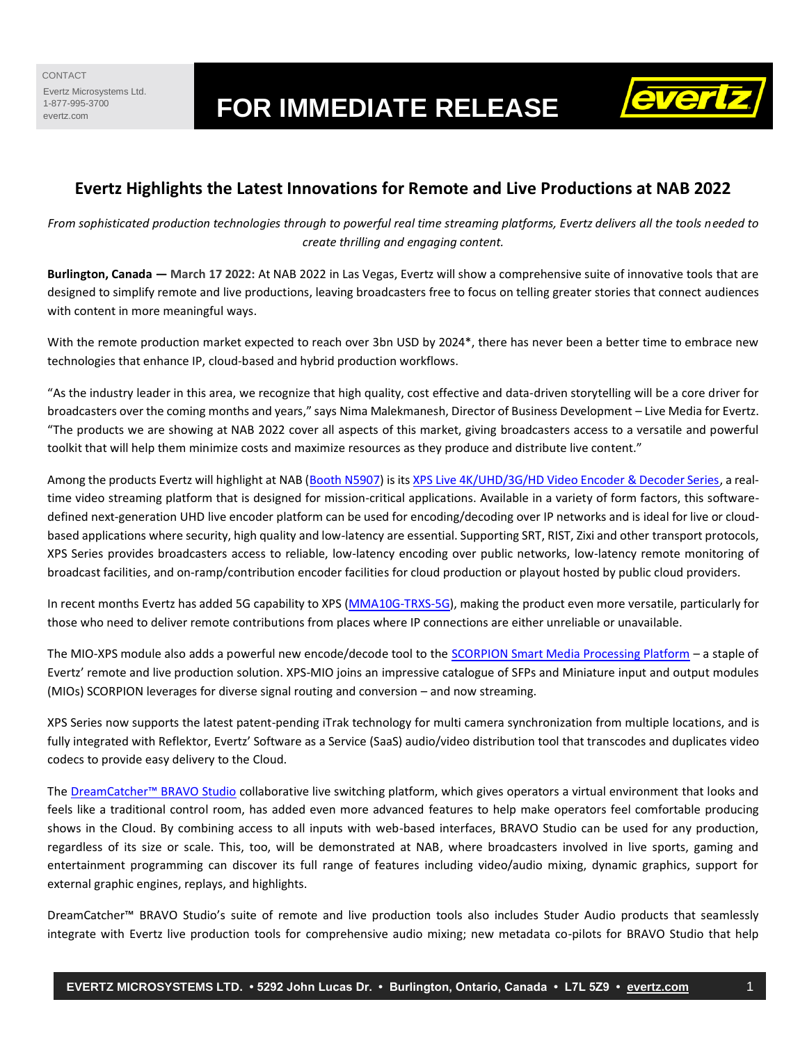# Evertz.kucrosystems Ltd.<br>evertz.com **FOR IMMEDIATE RELEASE**



# **Evertz Highlights the Latest Innovations for Remote and Live Productions at NAB 2022**

*From sophisticated production technologies through to powerful real time streaming platforms, Evertz delivers all the tools needed to create thrilling and engaging content.*

**Burlington, Canada — March 17 2022:** At NAB 2022 in Las Vegas, Evertz will show a comprehensive suite of innovative tools that are designed to simplify remote and live productions, leaving broadcasters free to focus on telling greater stories that connect audiences with content in more meaningful ways.

With the remote production market expected to reach over 3bn USD by 2024\*, there has never been a better time to embrace new technologies that enhance IP, cloud-based and hybrid production workflows.

"As the industry leader in this area, we recognize that high quality, cost effective and data-driven storytelling will be a core driver for broadcasters over the coming months and years," says Nima Malekmanesh, Director of Business Development – Live Media for Evertz. "The products we are showing at NAB 2022 cover all aspects of this market, giving broadcasters access to a versatile and powerful toolkit that will help them minimize costs and maximize resources as they produce and distribute live content."

Among the products Evertz will highlight at NAB [\(Booth N5907\)](https://nab22.mapyourshow.com/8_0/floorplan/index.cfm?hallID=AS&&selectedBooth=booth~N5907) is it[s XPS Live 4K/UHD/3G/HD Video Encoder & Decoder Series,](https://evertz.com/products/XPS-HW) a realtime video streaming platform that is designed for mission-critical applications. Available in a variety of form factors, this softwaredefined next-generation UHD live encoder platform can be used for encoding/decoding over IP networks and is ideal for live or cloudbased applications where security, high quality and low-latency are essential. Supporting SRT, RIST, Zixi and other transport protocols, XPS Series provides broadcasters access to reliable, low-latency encoding over public networks, low-latency remote monitoring of broadcast facilities, and on-ramp/contribution encoder facilities for cloud production or playout hosted by public cloud providers.

In recent months Evertz has added 5G capability to XPS [\(MMA10G-TRXS-5G\)](https://av.evertz.com/av-solutions/by-product/mma-10g-routing-system/network-gateways/mma10g-trxs-5g/), making the product even more versatile, particularly for those who need to deliver remote contributions from places where IP connections are either unreliable or unavailable.

The MIO-XPS module also adds a powerful new encode/decode tool to the [SCORPION Smart Media Processing Platform](https://evertz.com/solutions/scorpion/) – a staple of Evertz' remote and live production solution. XPS-MIO joins an impressive catalogue of SFPs and Miniature input and output modules (MIOs) SCORPION leverages for diverse signal routing and conversion – and now streaming.

XPS Series now supports the latest patent-pending iTrak technology for multi camera synchronization from multiple locations, and is fully integrated with Reflektor, Evertz' Software as a Service (SaaS) audio/video distribution tool that transcodes and duplicates video codecs to provide easy delivery to the Cloud.

The [DreamCatcher™ BRAVO Studio](https://evertz.com/solutions/dreamcatcher/bravo/) collaborative live switching platform, which gives operators a virtual environment that looks and feels like a traditional control room, has added even more advanced features to help make operators feel comfortable producing shows in the Cloud. By combining access to all inputs with web-based interfaces, BRAVO Studio can be used for any production, regardless of its size or scale. This, too, will be demonstrated at NAB, where broadcasters involved in live sports, gaming and entertainment programming can discover its full range of features including video/audio mixing, dynamic graphics, support for external graphic engines, replays, and highlights.

DreamCatcher™ BRAVO Studio's suite of remote and live production tools also includes Studer Audio products that seamlessly integrate with Evertz live production tools for comprehensive audio mixing; new metadata co-pilots for BRAVO Studio that help